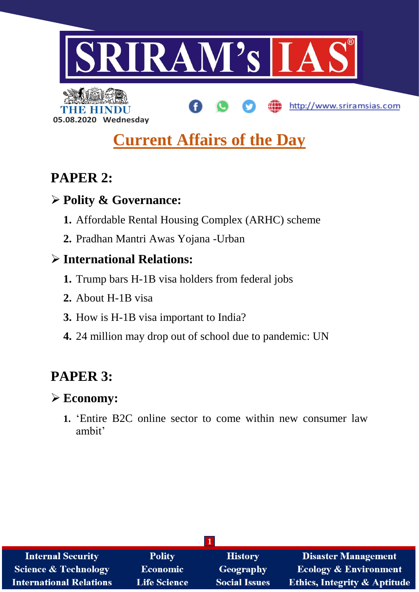

http://www.sriramsias.com



# **Current Affairs of the Day**

# **PAPER 2:**

# **Polity & Governance:**

- **1.** Affordable Rental Housing Complex (ARHC) scheme
- **2.** Pradhan Mantri Awas Yojana -Urban

# **International Relations:**

- **1.** Trump bars H-1B visa holders from federal jobs
- **2.** About H-1B visa
- **3.** How is H-1B visa important to India?
- **4.** 24 million may drop out of school due to pandemic: UN

# **PAPER 3:**

# **Economy:**

**1.** 'Entire B2C online sector to come within new consumer law ambit'

| <b>Internal Security</b>        | <b>Polity</b>       | <b>History</b>       | <b>Disaster Management</b>              |  |
|---------------------------------|---------------------|----------------------|-----------------------------------------|--|
| <b>Science &amp; Technology</b> | <b>Economic</b>     | Geography            | <b>Ecology &amp; Environment</b>        |  |
| <b>International Relations</b>  | <b>Life Science</b> | <b>Social Issues</b> | <b>Ethics, Integrity &amp; Aptitude</b> |  |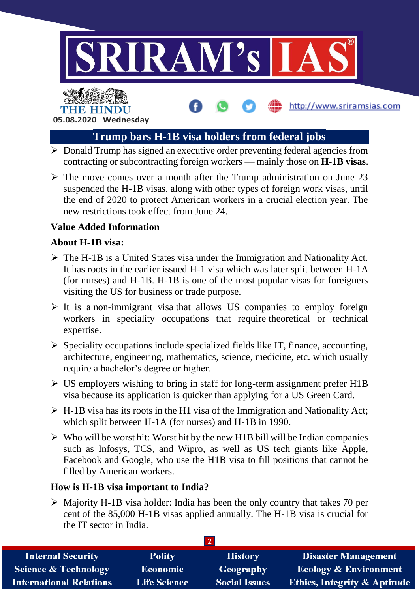

http://www.sriramsias.com

THE HINDL **05.08.2020 Wednesday**

# **Trump bars H-1B visa holders from federal jobs**

- $\triangleright$  Donald Trump has signed an executive order preventing federal agencies from contracting or subcontracting foreign workers — mainly those on **H-1B visas**.
- $\triangleright$  The move comes over a month after the Trump administration on June 23 suspended the H-1B visas, along with other types of foreign work visas, until the end of 2020 to protect American workers in a crucial election year. The new restrictions took effect from June 24.

# **Value Added Information**

## **About H-1B visa:**

- $\triangleright$  The H-1B is a United States visa under the Immigration and Nationality Act. It has roots in the earlier issued H-1 visa which was later split between H-1A (for nurses) and H-1B. H-1B is one of the most popular visas for foreigners visiting the US for business or trade purpose.
- $\triangleright$  It is a non-immigrant visa that allows US companies to employ foreign workers in speciality occupations that require theoretical or technical expertise.
- $\triangleright$  Speciality occupations include specialized fields like IT, finance, accounting, architecture, engineering, mathematics, science, medicine, etc. which usually require a bachelor's degree or higher.
- $\triangleright$  US employers wishing to bring in staff for long-term assignment prefer H1B visa because its application is quicker than applying for a US Green Card.
- $\triangleright$  H-1B visa has its roots in the H1 visa of the Immigration and Nationality Act; which split between H-1A (for nurses) and H-1B in 1990.
- $\triangleright$  Who will be worst hit: Worst hit by the new H1B bill will be Indian companies such as Infosys, TCS, and Wipro, as well as US tech giants like Apple, Facebook and Google, who use the H1B visa to fill positions that cannot be filled by American workers.

## **How is H-1B visa important to India?**

 Majority H-1B visa holder: India has been the only country that takes 70 per cent of the 85,000 H-1B visas applied annually. The H-1B visa is crucial for the IT sector in India.

| <b>Internal Security</b>        | <b>Polity</b>       | <b>History</b>       | <b>Disaster Management</b>              |
|---------------------------------|---------------------|----------------------|-----------------------------------------|
| <b>Science &amp; Technology</b> | Economic            | Geography            | <b>Ecology &amp; Environment</b>        |
| <b>International Relations</b>  | <b>Life Science</b> | <b>Social Issues</b> | <b>Ethics, Integrity &amp; Aptitude</b> |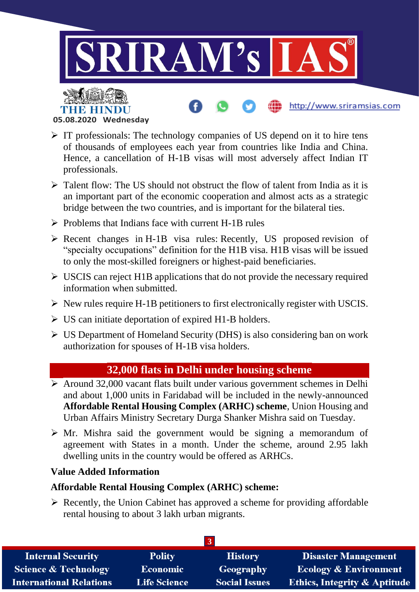

**05.08.2020 Wednesday**

THE HIN

- $\triangleright$  IT professionals: The technology companies of US depend on it to hire tens of thousands of employees each year from countries like India and China. Hence, a cancellation of H-1B visas will most adversely affect Indian IT professionals.
- $\triangleright$  Talent flow: The US should not obstruct the flow of talent from India as it is an important part of the economic cooperation and almost acts as a strategic bridge between the two countries, and is important for the bilateral ties.
- $\triangleright$  Problems that Indians face with current H-1B rules
- $\triangleright$  Recent changes in H-1B visa rules: Recently, US proposed revision of "specialty occupations" definition for the H1B visa. H1B visas will be issued to only the most-skilled foreigners or highest-paid beneficiaries.
- $\triangleright$  USCIS can reject H1B applications that do not provide the necessary required information when submitted.
- $\triangleright$  New rules require H-1B petitioners to first electronically register with USCIS.
- $\triangleright$  US can initiate deportation of expired H1-B holders.
- US Department of Homeland Security (DHS) is also considering ban on work authorization for spouses of H-1B visa holders.

# **32,000 flats in Delhi under housing scheme**

- $\triangleright$  Around 32,000 vacant flats built under various government schemes in Delhi and about 1,000 units in Faridabad will be included in the newly-announced **Affordable Rental Housing Complex (ARHC) scheme**, Union Housing and Urban Affairs Ministry Secretary Durga Shanker Mishra said on Tuesday.
- $\triangleright$  Mr. Mishra said the government would be signing a memorandum of agreement with States in a month. Under the scheme, around 2.95 lakh dwelling units in the country would be offered as ARHCs.

## **Value Added Information**

## **Affordable Rental Housing Complex (ARHC) scheme:**

 $\triangleright$  Recently, the Union Cabinet has approved a scheme for providing affordable rental housing to about 3 lakh urban migrants.

| <b>Internal Security</b>        | <b>Polity</b>       | <b>History</b>       | <b>Disaster Management</b>              |  |
|---------------------------------|---------------------|----------------------|-----------------------------------------|--|
| <b>Science &amp; Technology</b> | Economic            | Geography            | <b>Ecology &amp; Environment</b>        |  |
| <b>International Relations</b>  | <b>Life Science</b> | <b>Social Issues</b> | <b>Ethics, Integrity &amp; Aptitude</b> |  |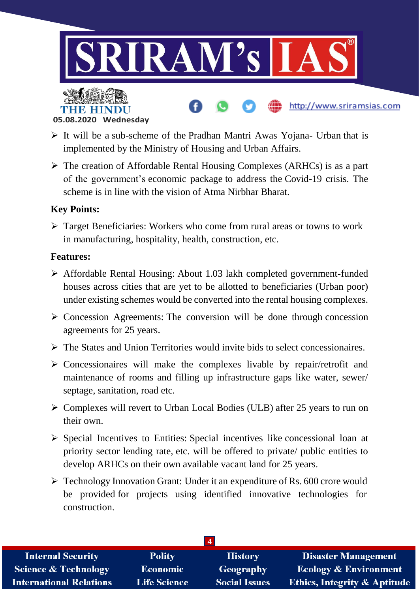



TIMIN

- $\triangleright$  It will be a sub-scheme of the Pradhan Mantri Awas Yojana- Urban that is implemented by the Ministry of Housing and Urban Affairs.
- $\triangleright$  The creation of Affordable Rental Housing Complexes (ARHCs) is as a part of the government's economic package to address the Covid-19 crisis. The scheme is in line with the vision of Atma Nirbhar Bharat.

# **Key Points:**

 Target Beneficiaries: Workers who come from rural areas or towns to work in manufacturing, hospitality, health, construction, etc.

### **Features:**

- Affordable Rental Housing: About 1.03 lakh completed government-funded houses across cities that are yet to be allotted to beneficiaries (Urban poor) under existing schemes would be converted into the rental housing complexes.
- $\triangleright$  Concession Agreements: The conversion will be done through concession agreements for 25 years.
- $\triangleright$  The States and Union Territories would invite bids to select concessionaires.
- $\triangleright$  Concessionaires will make the complexes livable by repair/retrofit and maintenance of rooms and filling up infrastructure gaps like water, sewer/ septage, sanitation, road etc.
- $\triangleright$  Complexes will revert to Urban Local Bodies (ULB) after 25 years to run on their own.
- $\triangleright$  Special Incentives to Entities: Special incentives like concessional loan at priority sector lending rate, etc. will be offered to private/ public entities to develop ARHCs on their own available vacant land for 25 years.
- $\triangleright$  Technology Innovation Grant: Under it an expenditure of Rs. 600 crore would be provided for projects using identified innovative technologies for construction.

| <b>Internal Security</b>        | <b>Polity</b>       | <b>History</b>       | <b>Disaster Management</b>              |  |
|---------------------------------|---------------------|----------------------|-----------------------------------------|--|
| <b>Science &amp; Technology</b> | <b>Economic</b>     | Geography            | <b>Ecology &amp; Environment</b>        |  |
| <b>International Relations</b>  | <b>Life Science</b> | <b>Social Issues</b> | <b>Ethics, Integrity &amp; Aptitude</b> |  |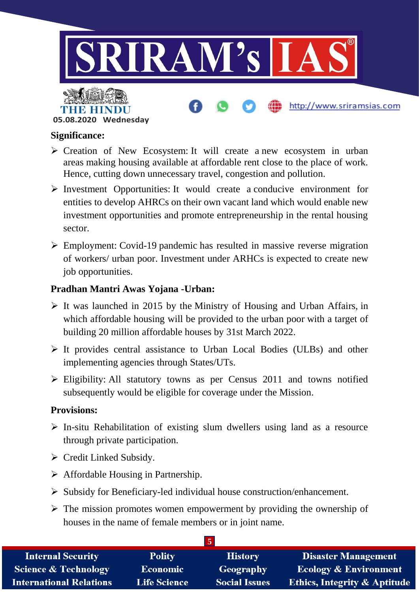

### **Significance:**

- $\triangleright$  Creation of New Ecosystem: It will create a new ecosystem in urban areas making housing available at affordable rent close to the place of work. Hence, cutting down unnecessary travel, congestion and pollution.
- $\triangleright$  Investment Opportunities: It would create a conducive environment for entities to develop AHRCs on their own vacant land which would enable new investment opportunities and promote entrepreneurship in the rental housing sector.
- Employment: Covid-19 pandemic has resulted in massive reverse migration of workers/ urban poor. Investment under ARHCs is expected to create new job opportunities.

### **Pradhan Mantri Awas Yojana -Urban:**

- $\triangleright$  It was launched in 2015 by the Ministry of Housing and Urban Affairs, in which affordable housing will be provided to the urban poor with a target of building 20 million affordable houses by 31st March 2022.
- $\triangleright$  It provides central assistance to Urban Local Bodies (ULBs) and other implementing agencies through States/UTs.
- $\triangleright$  Eligibility: All statutory towns as per Census 2011 and towns notified subsequently would be eligible for coverage under the Mission.

#### **Provisions:**

- $\triangleright$  In-situ Rehabilitation of existing slum dwellers using land as a resource through private participation.
- $\triangleright$  Credit Linked Subsidy.
- $\triangleright$  Affordable Housing in Partnership.
- $\triangleright$  Subsidy for Beneficiary-led individual house construction/enhancement.
- $\triangleright$  The mission promotes women empowerment by providing the ownership of houses in the name of female members or in joint name.

| <b>Internal Security</b>        | <b>Polity</b>       | <b>History</b>       | <b>Disaster Management</b>              |
|---------------------------------|---------------------|----------------------|-----------------------------------------|
| <b>Science &amp; Technology</b> | Economic            | Geography            | <b>Ecology &amp; Environment</b>        |
| <b>International Relations</b>  | <b>Life Science</b> | <b>Social Issues</b> | <b>Ethics, Integrity &amp; Aptitude</b> |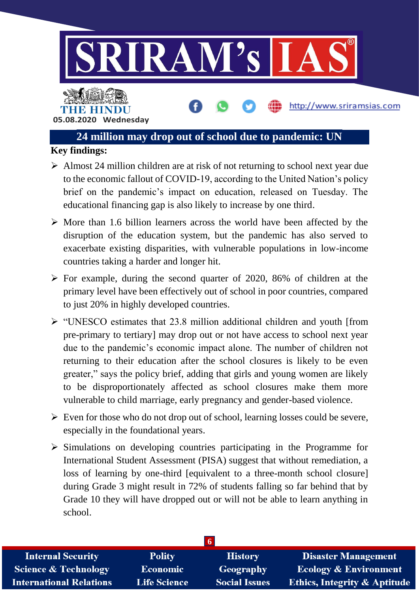

**05.08.2020 Wednesday**

# **24 million may drop out of school due to pandemic: UN**

# **Key findings:**

- $\triangleright$  Almost 24 million children are at risk of not returning to school next year due to the economic fallout of COVID-19, according to the United Nation's policy brief on the pandemic's impact on education, released on Tuesday. The educational financing gap is also likely to increase by one third.
- $\triangleright$  More than 1.6 billion learners across the world have been affected by the disruption of the education system, but the pandemic has also served to exacerbate existing disparities, with vulnerable populations in low-income countries taking a harder and longer hit.
- $\triangleright$  For example, during the second quarter of 2020, 86% of children at the primary level have been effectively out of school in poor countries, compared to just 20% in highly developed countries.
- $\triangleright$  "UNESCO estimates that 23.8 million additional children and youth [from pre-primary to tertiary] may drop out or not have access to school next year due to the pandemic's economic impact alone. The number of children not returning to their education after the school closures is likely to be even greater," says the policy brief, adding that girls and young women are likely to be disproportionately affected as school closures make them more vulnerable to child marriage, early pregnancy and gender-based violence.
- $\triangleright$  Even for those who do not drop out of school, learning losses could be severe, especially in the foundational years.
- $\triangleright$  Simulations on developing countries participating in the Programme for International Student Assessment (PISA) suggest that without remediation, a loss of learning by one-third [equivalent to a three-month school closure] during Grade 3 might result in 72% of students falling so far behind that by Grade 10 they will have dropped out or will not be able to learn anything in school.

| <b>Internal Security</b>        | <b>Polity</b>       | <b>History</b>       | <b>Disaster Management</b>              |
|---------------------------------|---------------------|----------------------|-----------------------------------------|
| <b>Science &amp; Technology</b> | Economic            | Geography            | <b>Ecology &amp; Environment</b>        |
| <b>International Relations</b>  | <b>Life Science</b> | <b>Social Issues</b> | <b>Ethics, Integrity &amp; Aptitude</b> |